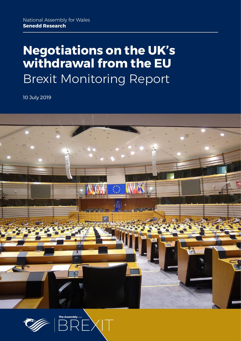# **Negotiations on the UK's withdrawal from the EU** Brexit Monitoring Report

10 July 2019





 $\times$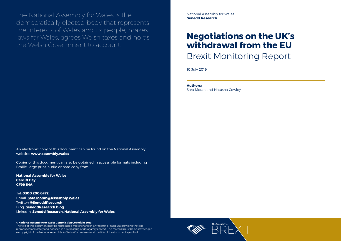National Assembly for Wales **Senedd Research**



The National Assembly for Wales is the democratically elected body that represents the interests of Wales and its people, makes laws for Wales, agrees Welsh taxes and holds the Welsh Government to account.

**Authors:** 

Sara Moran and Natasha Cowley

#### **© National Assembly for Wales Commission Copyright 2019**

The text of this document may be reproduced free of charge in any format or medium providing that it is reproduced accurately and not used in a misleading or derogatory context. The material must be acknowledged as copyright of the National Assembly for Wales Commission and the title of the document specified.

An electronic copy of this document can be found on the National Assembly website: **www.assembly.wales**

Copies of this document can also be obtained in accessible formats including Braille, large print, audio or hard copy from:

**National Assembly for Wales Cardiff Bay CF99 1NA**

Tel: **0300 200 6472** Email: **[Sara.Moran@Assembly.Wales](mailto:Sara.Moran%40Assembly.Wales?subject=)** Twitter: **[@SeneddResearch](http://www.twitter.com/@SeneddResearch)** Blog: **[SeneddResearch.blog](http://SeneddResearch.blog)** LinkedIn: **Senedd Research, National Assembly for Wales**

## **Negotiations on the UK's withdrawal from the EU** Brexit Monitoring Report

10 July 2019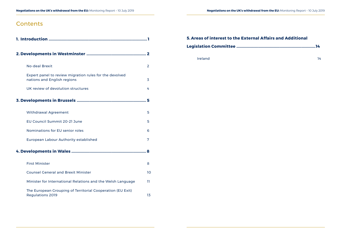### **Contents**

|   | <b>No-deal Brexit</b>                                                                  | $\overline{2}$ |
|---|----------------------------------------------------------------------------------------|----------------|
|   | Expert panel to review migration rules for the devolved<br>nations and English regions | 3              |
|   | UK review of devolution structures                                                     | 4              |
| 5 |                                                                                        |                |
|   | <b>Withdrawal Agreement</b>                                                            | 5              |
|   | EU Council Summit 20-21 June                                                           | 5              |
|   | Nominations for EU senior roles                                                        | 6              |
|   | <b>European Labour Authority established</b>                                           | 7              |
| 8 |                                                                                        |                |
|   | <b>First Minister</b>                                                                  | 8              |
|   | <b>Counsel General and Brexit Minister</b>                                             | 10             |
|   | Minister for International Relations and the Welsh Language                            | 11             |
|   | The European Grouping of Territorial Cooperation (EU Exit)<br><b>Regulations 2019</b>  | 13             |

### **5. [Areas of interest to the External Affairs and Additional](#page-10-0)**

### **[Legislation Committee .........................................................................14](#page-10-0)**

[Ireland](#page-10-0) 14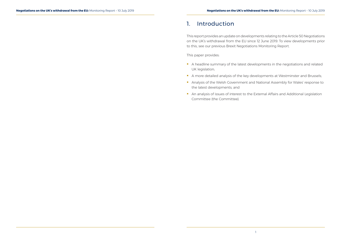### <span id="page-3-0"></span>1. Introduction

This report provides an update on developments relating to the Article 50 Negotiations on the UK's withdrawal from the EU since 12 June 2019. To view developments prior to this, see our [previous Brexit Negotiations Monitoring Report](https://seneddresearch.blog/2019/06/13/brexit-negotiations-monitoring-report-16/).

- A headline summary of the latest developments in the negotiations and related UK legislation;
- A more detailed analysis of the key developments at Westminster and Brussels;
- Analysis of the Welsh Government and National Assembly for Wales' response to the latest developments; and
- An analysis of issues of interest to the External Affairs and Additional Legislation Committee (the Committee).

This paper provides: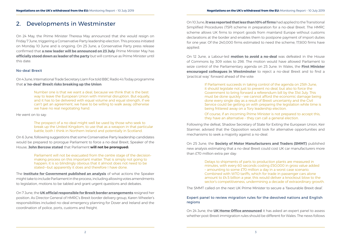### <span id="page-4-0"></span>2. Developments in Westminster

On 24 May, the Prime Minister Theresa May announced that she would resign on Friday 7 June, triggering a Conservative Party leadership election. This process initiated on Monday 10 June and is ongoing. On 25 June, a Conservative Party press release confirmed that **[a new leader will be announced on 23 July](https://www.theguardian.com/politics/blog/live/2019/jun/25/tory-leadership-latest-news-boris-johnson-rudd-tells-boris-johnson-optimism-not-enough-to-deliver-brexit-live-news)**. Prime Minister May has **[officially stood down as leader of the party](https://www.bbc.co.uk/news/uk-politics-48550452)** but will continue as Prime Minister until this date.

#### No-deal Brexit

On 4 June, International Trade Secretary Liam Fox told BBC Radio 4's Today programme that **[a 'no-deal' Brexit risks breaking up the Union](https://www.bbc.co.uk/news/uk-politics-48510016)**:

> Number one is that we want a deal, because we think that is the best way to leave the European Union with minimal disruption. But equally, and it has to be delivered with equal volume and equal strength, if we can't get an agreement, we have to be willing to walk away, otherwise we have no real negotiating hand.

He went on to say:

The prospect of a no-deal might well be used by those who seek to break up the United Kingdom, to use that as a weapon in that particular battle, both I think in Northern Ireland and potentially in Scotland.

On 6 June, following suggestions that some Conservative Party leadership candidates would be prepared to prorogue Parliament to force a no-deal Brexit, Speaker of the House, **[John Bercow stated](https://hansard.parliament.uk/commons/2019-06-06/debates/546379CA-C7BD-4D1F-943B-8CE3C07B0584/BusinessOfTheHouse)** that Parliament **will not be prorogued:**

> Parliament will not be evacuated from the centre stage of the decisionmaking process on this important matter. That is simply not going to happen; it is so blindingly obvious that it almost does not need to be stated—but apparently it does and therefore I have done.

The **[Institute for Government published an analysis](https://www.instituteforgovernment.org.uk/blog/speaker-cant-guarantee-mps-can-stop-no-deal-brexit)** of what actions the Speaker might take to include Parliament in the process, including allowing votes amendments to legislation, motions to be tabled and grant urgent questions and debates.

On 7 June, the **[UK official responsible for Brexit border arrangements](https://www.theguardian.com/politics/2019/jun/06/uk-official-in-charge-of-brexit-border-plans-resigns)** resigned her position. As Director General of HMRC's Brexit border delivery group, Karen Wheeler's responsibilities included no-deal emergency planning for Dover and Ireland and the coordination of police, ports, customs and freight.

On 10 June, **[it was reported that less than 10% of firms](https://www.bbc.co.uk/news/business-48611754)** had applied to the Transitional Simplified Procedures (TSP) scheme in preparation for a no-deal Brexit. The HMRC scheme allows UK firms to import goods from mainland Europe without customs declarations at the border and enables them to postpone payment of import duties for one year. Of the 240,000 firms estimated to need the scheme, 17,800 firms have applied.

On 12 June, a Labour-led **motion to avoid a no-deal** was defeated in the House of Commons by 309 votes to 298. The motion would have allowed Parliament to seize control of the Parliamentary agenda on 25 June. In Wales, the **[First Minister](https://gov.wales/parliament-should-compel-the-government-to-bring-forward-a-referendum-bill-by-end-of-july)  [encouraged colleagues in Westminster](https://gov.wales/parliament-should-compel-the-government-to-bring-forward-a-referendum-bill-by-end-of-july)** to reject a no-deal Brexit and to find a 'practical way' forward ahead of the vote:

> If Parliament succeeds in taking control of the agenda on 25th June, it should legislate not just to prevent no deal, but also to force the Government to bring forward a referendum bill by the 31st July. This must be done quickly – we cannot afford the economic damage being done every single day as a result of Brexit uncertainty and the Civil Service could be getting on with preparing the legislation while time is being frittered away on a Tory leadership election.

> Of course, if an incoming Prime Minister is not prepared to accept this, they have an alternative – they can call a general election.

Following the defeat, Shadow Secretary of State for Exiting the European Union, Keir Starmer, advised that the Opposition would look for alternative opportunities and mechanisms to seek a majority against a no-deal.

On 25 June, the **[Society of Motor Manufacturers and Traders \(SMMT\)](https://www.smmt.co.uk/2019/06/getting-a-deal-must-be-next-pms-first-job-urges-uk-auto-as-new-report-reveals-50000-a-minute-threat-of-border-delays/)** published new analysis estimating that a no-deal Brexit could cost UK car manufacturers more than £70 million extra per day:

> Delays to shipments of parts to production plants are measured in minutes, with every 60 seconds costing £50,000 in gross value added – amounting to some £70 million a day in a worst case scenario. Combined with WTO tariffs, which for trade in passenger cars alone amount to £4.5 billion a year, this would deliver a knockout blow to the sector's competitiveness, undermining a decade of extraordinary growth.

The SMMT called on the next UK Prime Minister to secure a 'favourable Brexit deal'.

#### Expert panel to review migration rules for the devolved nations and English regions

On 24 June, the **[UK Home Office announced](https://www.gov.uk/government/news/home-secretary-asks-independent-migration-experts-to-advise-on-future-salary-thresholds)** it has asked an expert panel to assess whether post-Brexit immigration rules should be different for Wales. The news follows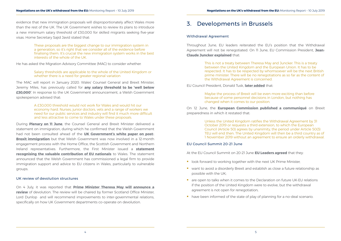<span id="page-5-0"></span>evidence that new immigration proposals will disproportionately affect Wales more than the rest of the UK. The UK Government wishes to review its plans to introduce a new minimum salary threshold of £30,000 for skilled migrants seeking five-year visas. Home Secretary Sajid Javid stated that:

> These proposals are the biggest change to our immigration system in a generation, so it's right that we consider all of the evidence before finalising them. It's crucial the new immigration system works in the best interests of the whole of the UK.

He has asked the Migration Advisory Committee (MAC) to consider whether:

#### Salary thresholds are applicable to the whole of the United Kingdom or whether there is a need for greater regional variation

The MAC will report in January 2020. Wales' Counsel General and Brexit Minister, Jeremy Miles, has previously called for **[any salary threshold to be 'well below](https://gov.wales/we-must-protect-status-of-eu-citizens-in-wales)  [£30,000'](https://gov.wales/we-must-protect-status-of-eu-citizens-in-wales)**. In response to the UK Government announcement, a Welsh Government spokesperson advised that:

> A £30,000 threshold would not work for Wales and would hit our economy hard. Nurses, junior doctors, vets and a range of workers we need for our public services and industry will find it much more difficult and less attractive to come to Wales under these proposals.

During **Plenary on 11 June**, the Counsel General and Brexit Minister delivered a statement on immigration, during which he confirmed that the Welsh Government had not been consulted ahead of the **[UK Government's white paper on post-](https://www.gov.uk/government/publications/the-uks-future-skills-based-immigration-system)[Brexit immigration](https://www.gov.uk/government/publications/the-uks-future-skills-based-immigration-system)** but that Welsh Government was now involved in a 12-month engagement process with the Home Office, the Scottish Government and Northern Ireland representatives. Furthermore, the First Minister issued a **[statement](https://gov.wales/written-statement-valuable-contribution-eu-nationals-wales)  [recognising the valuable contribution of EU nationals](https://gov.wales/written-statement-valuable-contribution-eu-nationals-wales)** to Wales. The statement announced that the Welsh Government has commissioned a legal firm to provide immigration support and advice to EU citizens in Wales, particularly to vulnerable groups.

#### UK review of devolution structures

On 4 July, it was reported that **[Prime Minister Theresa May will announce a](https://www.bbc.co.uk/news/uk-wales-politics-48854396)  [review](https://www.bbc.co.uk/news/uk-wales-politics-48854396)** of devolution. The review will be chaired by former Scotland Office Minister, Lord Dunlop and will recommend improvements to inter-governmental relations, specifically on how UK Government departments co-operate on devolution.

### 3. Developments in Brussels

#### Withdrawal Agreement

Throughout June, EU leaders reiterated the EU's position that the Withdrawal Agreement will not be renegotiated. On 11 June, EU Commission President, **[Jean-](https://www.politico.eu/article/juncker-i-dont-like-what-is-happening-in-tory-race/?utm_source=POLITICO.EU&utm_campaign=74af22ab0a-EMAIL_CAMPAIGN_2019_06_13_12_47&utm_medium=email&utm_term=0_10959edeb5-74af22ab0a-190444697)[Claude Juncker explained](https://www.politico.eu/article/juncker-i-dont-like-what-is-happening-in-tory-race/?utm_source=POLITICO.EU&utm_campaign=74af22ab0a-EMAIL_CAMPAIGN_2019_06_13_12_47&utm_medium=email&utm_term=0_10959edeb5-74af22ab0a-190444697)** that:

> This is not a treaty between Theresa May and Juncker. This is a treaty between the United Kingdom and the European Union. It has to be respected. It has to be respected by whomsoever will be the next British prime minister. There will be no renegotiations as so far as the content of the Withdrawal Agreement is concerned.

EU Council President, Donald Tusk, **[later added](https://www.ft.com/content/2a4f05bc-9418-11e9-b7ea-60e35ef678d2)** that:

Maybe the process of Brexit will be even more exciting than before because of some personnel decisions in London, but nothing has changed when it comes to our position.

#### On 12 June, the **[European Commission published a communiqué](https://ec.europa.eu/info/publications/communication-12-june-2019-state-play-preparations-contingency-measures-withdrawal-united-kingdom-european-union_en)** on Brexit

preparedness in which it restated that:

Unless the United Kingdom ratifies the Withdrawal Agreement by 31 October 2019 or requests a third extension, to which the European Council (Article 50) agrees by unanimity, the period under Article 50(3) TEU will end then. The United Kingdom will then be a third country as of 1 November 2019 without an agreement to ensure an orderly withdrawal.

#### EU Council Summit 20-21 June

At the EU Council Summit on 20-21 June **[EU Leaders agreed](https://www.consilium.europa.eu/en/policies/eu-uk-after-referendum/)** that they:

- look forward to working together with the next UK Prime Minister;
- want to avoid a disorderly Brexit and establish as close a future relationship as possible with the UK;
- **a** are open to talks when it comes to the Declaration on future UK-EU relations if the position of the United Kingdom were to evolve, but the withdrawal agreement is not open for renegotiation;
- have been informed of the state of play of planning for a no-deal scenario.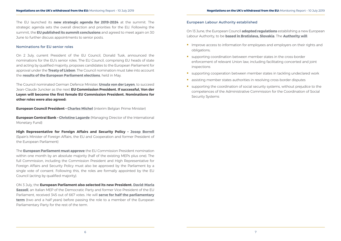<span id="page-6-0"></span>The EU launched its **[new strategic agenda for 2019-2024](https://www.consilium.europa.eu/en/press/press-releases/2019/06/20/a-new-strategic-agenda-2019-2024/)** at the summit. The strategic agenda sets the overall direction and priorities for the EU. Following the summit, the **[EU published its summit conclusions](https://www.consilium.europa.eu/media/39922/20-21-euco-final-conclusions-en.pdf)** and agreed to meet again on 30 June to further discuss appointments to senior posts.

#### Nominations for EU senior roles

On 2 July, current President of the EU Council, Donald Tusk, announced the nominations for the EU's senior roles. The EU Council, comprising EU heads of state and acting by qualified majority, proposes candidates to the European Parliament for approval under the **[Treaty of Lisbon](https://assets.publishing.service.gov.uk/government/uploads/system/uploads/attachment_data/file/228848/7310.pdf)**. The Council nomination must take into account the **[results of the European Parliament elections](https://election-results.eu/)**, held in May.

The Council nominated German Defence Minister, **[Ursula von der Leyen](https://www.bundesregierung.de/breg-en/federal-government/cabinet/ursula-von-der-leyen)**, to succeed Jean-Claude Juncker as the next **EU Commission President. If successful, Von der Leyen will become the first female EU Commission President. Nominations for other roles were also agreed:** 

**European Council President – [Charles Michel](https://premier.fgov.be/en)** (interim Belgian Prime Minister)

**European Central Bank – [Christine Lagarde](https://www.imf.org/en/About/senior-officials/Bios/christine-lagarde)** (Managing Director of the International Monetary Fund)

**High Representative for Foreign Affairs and Security Policy – [Josep Borrell](http://www.exteriores.gob.es/Portal/en/Ministerio/Ministro/Paginas/Biografia.aspx)** (Spain's Minister of Foreign Affairs, the EU and Cooperation and former President of the European Parliament)

- **Improve access to information for employees and employers on their rights and** obligations;
- supporting coordination between member states in the cross-border enforcement of relevant Union law, including facilitating concerted and joint inspections
- supporting cooperation between member states in tackling undeclared work
- **B** assisting member states authorities in resolving cross-border disputes
- supporting the coordination of social security systems, without prejudice to the competences of the Administrative Commission for the Coordination of Social Security Systems

The **[European Parliament must approve](https://www.europarl.europa.eu/news/en/faq/8/how-are-the-commission-president-and-commissioners-appointed)** the EU Commission President nomination within one month by an absolute majority (half of the existing MEPs plus one). The full Commission, including the Commission President and High Representative for Foreign Affairs and Security Policy must also be approved by the Parliament by a single vote of consent. Following this, the roles are formally appointed by the EU Council (acting by qualified majority).

ON 3 July, the **European Parliament also selected its new President. [David-Maria](https://www.europarl.europa.eu/meps/en/96864/DAVID-MARIA_SASSOLI/home)  [Sassoli](https://www.europarl.europa.eu/meps/en/96864/DAVID-MARIA_SASSOLI/home)**, an Italian MEP of the Democratic Party and former Vice-President of the EU Parliament, received 345 out of 667 votes. He will **[serve for half the parliamentary](https://www.politico.eu/article/david-sassoli-elected-european-parliament-president/)  [term](https://www.politico.eu/article/david-sassoli-elected-european-parliament-president/)** (two and a half years) before passing the role to a member of the European Parliamentary Party for the rest of the term.

#### European Labour Authority established

On 13 June, the European Council **[adopted regulations](https://data.consilium.europa.eu/doc/document/PE-49-2019-INIT/en/pdf)** establishing a new European Labour Authority, to be **[based in Bratislava, Slovakia](https://www.consilium.europa.eu/en/press/press-releases/2019/06/13/bratislava-to-host-the-european-labour-authority/)**. The **[Authority will](https://www.consilium.europa.eu/en/press/press-releases/2019/06/13/european-labour-authority-council-adopts-founding-regulation/)**: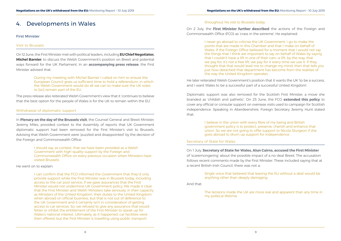### <span id="page-7-0"></span>4. Developments in Wales

#### First Minister

#### Visit to Brussels

On 12 June, the First Minister met with political leaders, including **EU Chief Negotiator, Michel Barnier**, to discuss the Welsh Government's position on Brexit and potential ways forward for the UK Parliament. In an **[accompanying press release](https://gov.wales/parliament-should-compel-the-government-to-bring-forward-a-referendum-bill-by-end-of-july)**, the First Minister advised that:

> During my meeting with Michel Barnier I called on him to ensure the European Council gives us sufficient time to hold a referendum, in which the Welsh Government would do all we can to make sure the UK votes to [sic] remain part of the EU.

The press release also reiterated Welsh Government's view that it 'continues to believe that the best option for the people of Wales is for the UK to remain within the EU'.

#### Withdrawal of diplomatic support

In **Plenary on the day of the Brussels visit**, the Counsel General and Brexit Minister, Jeremy Miles, provided context to the Assembly of reports that UK Government diplomatic support had been removed for the First Minister's visit to Brussels. Advising that Welsh Government were 'puzzled and disappointed' by the decision of the Foreign and Commonwealth Office:

> I should say, as context, that we have been provided as a Welsh Government with high-quality support by the Foreign and Commonwealth Office on every previous occasion when Ministers have visited Brussels.

He went on to explain:

I can confirm that the FCO informed the Government that they'd only provide support while the First Minister was in Brussels today, including access to the car pool service, if we gave assurances that the First Minister would not undermine UK Government policy. We made it clear that the First Minister and Welsh Ministers take seriously, in their capacity as Ministers of the United Kingdom, their duties to the United Kingdom when abroad on official business, but that is not out of deference to the UK Government and it certainly isn't in consideration of getting access to car services. So, we refused to give any assurance that would fetter or inhibit the entitlement of the First Minister to speak up for Wales's national interest. Ultimately, as it happened, car facilities were then offered, but the First Minister is travelling using public transport

#### throughout his visit to Brussels today.

On 2 July, the **[First Minister further described](http://record.assembly.wales/Plenary/5670)** the actions of the Foreign and Commonwealth Office (FCO) as 'crass in the extreme'. He explained:

> I never go abroad to criticise the UK Government; I go to make the points that are made in this Chamber and that I make on behalf of Wales. If the Foreign Office believed for a moment that I would not say the things that I think are important to say on behalf of Wales by saying that I couldn't have a lift in one of their cars—a lift, by the way, that we pay for; it's not a free lift, we pay for it every time we use it. If they thought that that would lead me to change my mind, then that tells you just how detached that department has become from the realities of the way the United Kingdom operates.

He later reiterated Welsh Government's position that it wants the UK 'to be a success, and I want Wales to be a successful part of a successful United Kingdom'.

Diplomatic support was also removed for the Scottish First Minister, a move she branded as 'childish and pathetic'. On 25 June, the FCO **[extended this policy](https://www.theguardian.com/politics/2019/jun/25/jeremy-hunt-pulls-foreign-office-support-nicola-sturgeon)** to cover any official or consular support on overseas visits used to campaign for Scottish independence. Speaking in Aberdeenshire, Foreign Secretary Jeremy Hunt stated that:

> I believe in the union with every fibre of my being and British government policy is to protect, preserve, cherish and enhance that union. So we are not going to offer support to Nicola Sturgeon if she goes abroad to drum up support for independence.

#### Secretary of State for Wales

On 1 July, **[Secretary of State for Wales, Alun Cairns, accused the First Minister](https://www.bbc.co.uk/news/uk-wales-politics-48824518)** of 'scaremongering' about the possible impact of a no-deal Brexit. The accusation follows recent comments made by the First Minister. These included saying that at a recent British-Irish Council, there was not a:

> Single voice that believed that leaving the EU without a deal would be anything other than deeply damaging.

And that:

The tensions inside the UK are more real and apparent than any time in my political lifetime.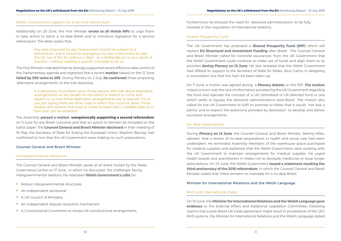#### <span id="page-8-0"></span>Welsh Government support for a second referendum

Additionally on 25 June, the First Minister **[wrote to all Welsh MPs](https://twitter.com/fmwales/status/1143808854133792768)** to urge them to take action to block a no-deal Brexit and to introduce legislation for a second referendum. The letter states that:

> Any deal proposed by any Government should be subject to a referendum; and it would be outrageous for any Government to take the UK out of the EU without a deal – as a deliberate act or as a result of inaction – without seeking a specific mandate to do so.

The First Minister indicated that he strongly supported recent efforts to take control of the Parliamentary agenda and regretted that a recent **[motion](https://hansard.parliament.uk/Commons/2019-06-12/debates/7DEE05D1-6F67-4137-89C7-F6F53CFC5B1F/LeavingTheEUBusinessOfTheHouse)** tabled on the 12 June **[failed by 309 votes to 298](https://hansard.parliament.uk/Commons/2019-06-12/division/932D265A-A4BD-457C-AE3A-DD37C6A903C6/LeavingTheEUBusinessOfTheHouse?outputType=Names)**. During Plenary on 2 July, **[he cautioned](http://record.assembly.wales/Plenary/5670)** those proposing 'alternative arrangements' to the Irish backstop:

> It is absolutely incumbent upon those people who talk about alternative arrangements on the border on the island of Ireland to come and explain to us how those alternative arrangements are to operate. It's no use just saying there are other ways in which this could be done. Those people who believe that have to come forward with a credible plan as to how that can be achieved.

The Assembly **[passed a motion](http://record.assembly.wales/Motion/7059) unequivocally supporting a second referendum**  on 5 June for any Brexit outcome and that an option to Remain be included on the ballot paper. The **Counsel General and Brexit Minister disclosed** in their meeting of 16 May, the Secretary of State for Exiting the European Union, Stephen Barclay, had confirmed to him that the UK Government were making no such preparations.

#### Counsel General and Brexit Minister

#### Intergovernmental Relations

The Counsel General and Brexit Minister, [spoke at an event](https://gov.wales/brexit-and-devolution-speech-17-june-2019) hosted by the Wales Governance Centre on 17 June, in which he discussed the challenges facing intergovernmental relations. He reiterated **[Welsh Government's calls](https://gov.wales/sites/default/files/2017-01/30683%20Securing%20Wales%C2%B9%20Future_ENGLISH_WEB.pdf)** for:

- Robust intergovernmental structures
- An independent secretariat:
- A UK Council of Ministers:
- An independent dispute resolution mechanism;
- A Constitutional Convention to review UK constitutional arrangements.

Furthermore, he stressed the need for devolved administrations to be fully involved in the negotiation of international relations.

#### Shared Prosperity Fund

The UK Government has proposed a **[Shared Prosperity Fund \(SPF\)](https://www.conservatives.com/manifesto)** which will replace **[EU Structural and Investment Funding](https://cohesiondata.ec.europa.eu/countries/UK)** after Brexit. The Counsel General and Brexit Minister called for 'concrete assurances' from the UK Government that the Welsh Government could continue to make use of funds and align them to its priorities **during Plenary on 12 June**. He also revealed that the Welsh Government had offered its support to the Secretary of State for Wales, Alun Cairns, in designing a consultation but that this had not been taken up.

On 11 June, a motion was agreed during a **Plenary debate** on the SPF. **[The motion](http://record.assembly.wales/Motion/7062)** noted concern over the lack of information provided by the UK Government regarding the fund and rejected the concept of 'a UK centralised or UK-directed fund or one which seeks to bypass the devolved administrations post-Brexit'. The motion also called for the UK Government to fulfil its promise to Wales that it would 'not lose a penny' and to respect the autonomy provided by devolution to develop and deliver successor arrangements.

#### No-deal preparations

During **Plenary on 12 June**, the Counsel General and Brexit Minister, Jeremy Miles, advised that a review of no-deal preparations in health and social care had been undertaken. He reminded Assembly Members of the warehouse space purchased for medical supplies and explained that the Welsh Government were working with the UK Government to maintain arrangements for medical supplies. He urged health boards and practitioners in Wales not to stockpile medicines or issue longer prescriptions. On 23 June, the Welsh Government **[issued a statement marking the](https://gov.wales/3-years-on-there-remains-no-mandate-for-no-deal)  [third anniversary of the 2016 referendum](https://gov.wales/3-years-on-there-remains-no-mandate-for-no-deal)**, in which the Counsel General and Brexit Minister stated that 'there remains no mandate for a no deal Brexit.'.

### Minister for International Relations and the Welsh Language

#### NHS and international trade

On 10 June, the **[Minister for International Relations and the Welsh Language gave](http://record.assembly.wales/Committee/5467)  [evidence](http://record.assembly.wales/Committee/5467)** to the External Affairs and Additional Legislation Committee. Following reports that a post-Brexit UK trade agreement might result in privatisation of the UK's NHS systems, the Minister for International Relations and the Welsh Language stated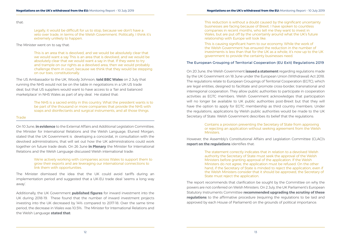<span id="page-9-0"></span>that:

Legally, it would be difficult for us to stop, because we don't have a veto over trade, in terms of the Welsh Government. Politically, I think it's extremely unlikely to happen.

The Minister went on to say that:

This is an area that is devolved, and we would be absolutely clear that we would want a say This is an area that is devolved, and we would be absolutely clear that we would want a say in that. If they were to try and trample on our rights as a devolved area, then we would probably challenge them in court, because we think that they would be stepping on our toes, constitutionally.

The US Ambassador to the UK, Woody Johnson, **[told BBC Wales](https://www.bbc.co.uk/news/uk-wales-48844492)** on 2 July that running the NHS would not be on the table in negotiations in a UK-US trade deal, but that US suppliers would want to have access to a 'fair and balanced marketplace' in NHS Wales as part of any deal. He stated that:

> The NHS is a sacred entity in this country. What the president wants is to be part of the thousand or more companies that provide the NHS with soaps and disinfectants and surgical instruments, and all those things.

#### **Trade**

On 10 June, **in evidence** to the External Affairs and Additional Legislation Committee, the Minister for International Relations and the Welsh Language, Eluned Morgan, stated that the UK Government is developing a concordat, in consultation with the devolved administrations, that will set out how the UK administrations could work together on future trade deals. On 26 June **in Plenary** the Minister for International Relations and the Welsh Language discussed Welsh international trade:

> We're actively working with companies across Wales to support them to grow their exports and are leveraging our international connections to link them with opportunities.

The Minister dismissed the idea that the UK could avoid tariffs during an implementation period and suggested that a UK-EU trade deal 'seems a long way away'.

Additionally, the UK Government **[published figures](https://www.gov.uk/government/statistics/department-for-international-trade-inward-investment-results-2018-to-2019)** for inward investment into the UK during 2018-19. These found that the number of inward investment projects investing into the UK decreased by 14% compared to 2017-18. Over the same time period, the decrease in Wales was 10.5%. The Minister for International Relations and the Welsh Language **[stated that](https://gov.wales/inward-investment-projects-create-and-safeguard-3700-jobs-in-wales-in-the-last-year)**:

This reduction is without a doubt caused by the significant uncertainty businesses are facing because of Brexit. I have spoken to countless companies in recent months, who tell me they want to invest in Wales, but are put off by the uncertainly around what the UK's future relationship with Europe will look like.

This is causing significant harm to our economy. While the work of the Welsh Government has ensured the reduction in the number of investments is less than that for the UK as a whole, it's now up to the UK government to provide the certainty businesses need.

### The European Grouping of Territorial Cooperation (EU Exit) Regulations 2019

On 20 June, the Welsh Government **[issued a statement](https://gov.wales/written-statement-written-statement-laid-under-standing-order-30c-15?_ga=2.33079294.1973870117.1561973080-1525803933.1553523382)** regarding regulations made by the UK Government on 18 June under the European Union (Withdrawal) Act 2018. The regulations relate to European Groupings of Territorial Cooperation (EGTC), which are legal entities, designed to facilitate and promote cross-border, transnational and interregional cooperation. They allow public authorities to participate in cooperation activities as EGTC members. Welsh Government acknowledges that participation will no longer be available to UK public authorities post-Brexit but that they will have the option to apply for EGTC membership as third country members. Under the regulations, applications by Welsh public authorities would be made to the UK Secretary of State. Welsh Government describes its belief that the regulations:

#### Contains a provision preventing the Secretary of State from approving or rejecting an application without seeking agreement from the Welsh

Ministers.

However, the Assembly's Constitutional Affairs and Legislation Committee (CLAC)'s **[report on the regulations](http://senedd.assembly.wales/documents/s90626/CLA5-21-19%20Paper%209.pdf)** identifies that:

> The statement correctly indicates that in relation to a devolved Welsh authority the Secretary of State must seek the approval of the Welsh Ministers before granting approval of the application. If the Welsh Ministers do not agree, the application must be refused. On the other hand, if the Secretary of State is minded to reject the application, even if the Welsh Ministers consider that it should be approved, the Secretary of State must reject the application.

The report recommends that clarification be sought by the Committee on why the powers are not conferred on Welsh Ministers. On 2 July, the UK Parliament's European Statutory Instruments Committee **[recommended upgrading the scrutiny of these](https://publications.parliament.uk/pa/cm201719/cmselect/cmesic/2264/2264.pdf)  [regulations](https://publications.parliament.uk/pa/cm201719/cmselect/cmesic/2264/2264.pdf)** to the affirmative procedure (requiring the regulations to be laid and approved by each House of Parliament) on the grounds of political importance.